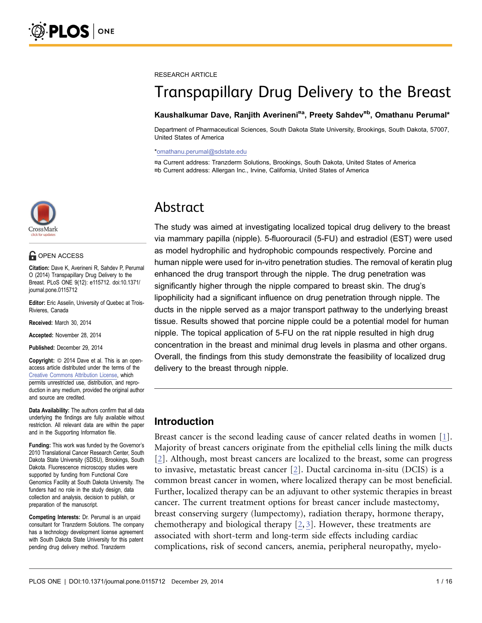

### **OPEN ACCESS**

Citation: Dave K, Averineni R, Sahdev P, Perumal O (2014) Transpapillary Drug Delivery to the Breast. PLoS ONE 9(12): e115712. doi:10.1371/ journal.pone.0115712

Editor: Eric Asselin, University of Quebec at Trois-Rivieres, Canada

Received: March 30, 2014

Accepted: November 28, 2014

Published: December 29, 2014

**Copyright:** © 2014 Dave et al. This is an openaccess article distributed under the terms of the [Creative Commons Attribution License,](http://creativecommons.org/licenses/by/4.0/) which permits unrestricted use, distribution, and reproduction in any medium, provided the original author and source are credited.

Data Availability: The authors confirm that all data underlying the findings are fully available without restriction. All relevant data are within the paper and in the Supporting Information file.

Funding: This work was funded by the Governor's 2010 Translational Cancer Research Center, South Dakota State University (SDSU), Brookings, South Dakota. Fluorescence microscopy studies were supported by funding from Functional Core Genomics Facility at South Dakota University. The funders had no role in the study design, data collection and analysis, decision to publish, or preparation of the manuscript.

Competing Interests: Dr. Perumal is an unpaid consultant for Tranzderm Solutions. The company has a technology development license agreement with South Dakota State University for this patent pending drug delivery method. Tranzderm

#### RESEARCH ARTICLE

# Transpapillary Drug Delivery to the Breast

#### Kaushalkumar Dave, Ranjith Averineni<sup>¤a</sup>, Preety Sahdev<sup>¤b</sup>, Omathanu Perumal\*

Department of Pharmaceutical Sciences, South Dakota State University, Brookings, South Dakota, 57007, United States of America

#### \*omathanu.perumal@sdstate.edu

¤a Current address: Tranzderm Solutions, Brookings, South Dakota, United States of America ¤b Current address: Allergan Inc., Irvine, California, United States of America

## Abstract

The study was aimed at investigating localized topical drug delivery to the breast via mammary papilla (nipple). 5-fluorouracil (5-FU) and estradiol (EST) were used as model hydrophilic and hydrophobic compounds respectively. Porcine and human nipple were used for in-vitro penetration studies. The removal of keratin plug enhanced the drug transport through the nipple. The drug penetration was significantly higher through the nipple compared to breast skin. The drug's lipophilicity had a significant influence on drug penetration through nipple. The ducts in the nipple served as a major transport pathway to the underlying breast tissue. Results showed that porcine nipple could be a potential model for human nipple. The topical application of 5-FU on the rat nipple resulted in high drug concentration in the breast and minimal drug levels in plasma and other organs. Overall, the findings from this study demonstrate the feasibility of localized drug delivery to the breast through nipple.

### Introduction

Breast cancer is the second leading cause of cancer related deaths in women [\[1\]](#page-14-0). Majority of breast cancers originate from the epithelial cells lining the milk ducts [\[2\]](#page-14-0). Although, most breast cancers are localized to the breast, some can progress to invasive, metastatic breast cancer [\[2\].](#page-14-0) Ductal carcinoma in-situ (DCIS) is a common breast cancer in women, where localized therapy can be most beneficial. Further, localized therapy can be an adjuvant to other systemic therapies in breast cancer. The current treatment options for breast cancer include mastectomy, breast conserving surgery (lumpectomy), radiation therapy, hormone therapy, chemotherapy and biological therapy [\[2,](#page-14-0) [3\].](#page-14-0) However, these treatments are associated with short-term and long-term side effects including cardiac complications, risk of second cancers, anemia, peripheral neuropathy, myelo-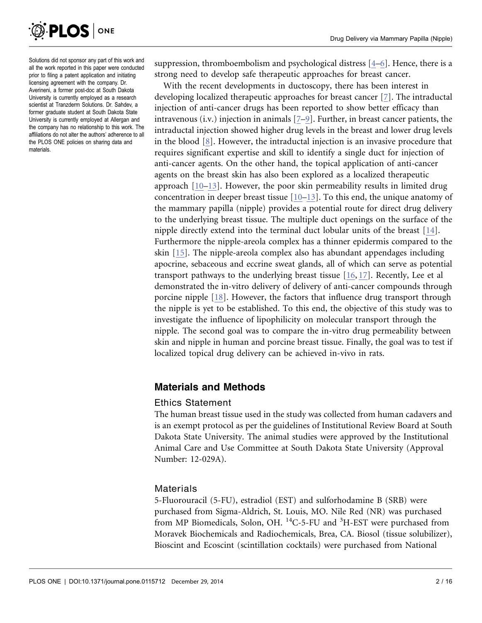

Solutions did not sponsor any part of this work and all the work reported in this paper were conducted prior to filing a patent application and initiating licensing agreement with the company. Dr. Averineni, a former post-doc at South Dakota University is currently employed as a research scientist at Tranzderm Solutions. Dr. Sahdev, a former graduate student at South Dakota State University is currently employed at Allergan and the company has no relationship to this work. The affiliations do not alter the authors' adherence to all the PLOS ONE policies on sharing data and materials.

suppression, thromboembolism and psychological distress [\[4–6\]](#page-14-0). Hence, there is a strong need to develop safe therapeutic approaches for breast cancer.

With the recent developments in ductoscopy, there has been interest in developing localized therapeutic approaches for breast cancer [\[7\]](#page-14-0). The intraductal injection of anti-cancer drugs has been reported to show better efficacy than intravenous (i.v.) injection in animals [\[7–9\].](#page-14-0) Further, in breast cancer patients, the intraductal injection showed higher drug levels in the breast and lower drug levels in the blood  $[8]$ . However, the intraductal injection is an invasive procedure that requires significant expertise and skill to identify a single duct for injection of anti-cancer agents. On the other hand, the topical application of anti-cancer agents on the breast skin has also been explored as a localized therapeutic approach [\[10–13\].](#page-14-0) However, the poor skin permeability results in limited drug concentration in deeper breast tissue [\[10–13\]](#page-14-0). To this end, the unique anatomy of the mammary papilla (nipple) provides a potential route for direct drug delivery to the underlying breast tissue. The multiple duct openings on the surface of the nipple directly extend into the terminal duct lobular units of the breast [\[14\].](#page-14-0) Furthermore the nipple-areola complex has a thinner epidermis compared to the skin [\[15\].](#page-14-0) The nipple-areola complex also has abundant appendages including apocrine, sebaceous and eccrine sweat glands, all of which can serve as potential transport pathways to the underlying breast tissue [\[16,](#page-14-0) [17\]](#page-14-0). Recently, Lee et al demonstrated the in-vitro delivery of delivery of anti-cancer compounds through porcine nipple [\[18\].](#page-14-0) However, the factors that influence drug transport through the nipple is yet to be established. To this end, the objective of this study was to investigate the influence of lipophilicity on molecular transport through the nipple. The second goal was to compare the in-vitro drug permeability between skin and nipple in human and porcine breast tissue. Finally, the goal was to test if localized topical drug delivery can be achieved in-vivo in rats.

### Materials and Methods

#### Ethics Statement

The human breast tissue used in the study was collected from human cadavers and is an exempt protocol as per the guidelines of Institutional Review Board at South Dakota State University. The animal studies were approved by the Institutional Animal Care and Use Committee at South Dakota State University (Approval Number: 12-029A).

### Materials

5-Fluorouracil (5-FU), estradiol (EST) and sulforhodamine B (SRB) were purchased from Sigma-Aldrich, St. Louis, MO. Nile Red (NR) was purchased from MP Biomedicals, Solon, OH. <sup>14</sup>C-5-FU and <sup>3</sup>H-EST were purchased from Moravek Biochemicals and Radiochemicals, Brea, CA. Biosol (tissue solubilizer), Bioscint and Ecoscint (scintillation cocktails) were purchased from National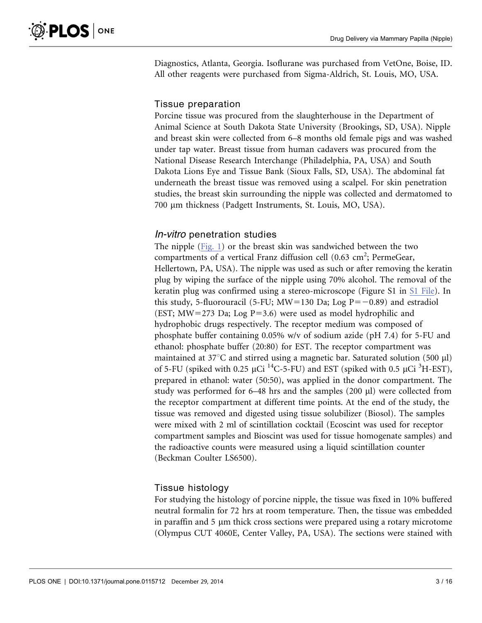Diagnostics, Atlanta, Georgia. Isoflurane was purchased from VetOne, Boise, ID. All other reagents were purchased from Sigma-Aldrich, St. Louis, MO, USA.

### Tissue preparation

Porcine tissue was procured from the slaughterhouse in the Department of Animal Science at South Dakota State University (Brookings, SD, USA). Nipple and breast skin were collected from 6–8 months old female pigs and was washed under tap water. Breast tissue from human cadavers was procured from the National Disease Research Interchange (Philadelphia, PA, USA) and South Dakota Lions Eye and Tissue Bank (Sioux Falls, SD, USA). The abdominal fat underneath the breast tissue was removed using a scalpel. For skin penetration studies, the breast skin surrounding the nipple was collected and dermatomed to 700 µm thickness (Padgett Instruments, St. Louis, MO, USA).

### In-vitro penetration studies

The nipple [\(Fig. 1](#page-3-0)) or the breast skin was sandwiched between the two compartments of a vertical Franz diffusion cell (0.63 cm<sup>2</sup>; PermeGear, Hellertown, PA, USA). The nipple was used as such or after removing the keratin plug by wiping the surface of the nipple using 70% alcohol. The removal of the keratin plug was confirmed using a stereo-microscope (Figure S1 in [S1 File](#page-13-0)). In this study, 5-fluorouracil (5-FU; MW=130 Da; Log  $P=-0.89$ ) and estradiol (EST; MW=273 Da; Log P=3.6) were used as model hydrophilic and hydrophobic drugs respectively. The receptor medium was composed of phosphate buffer containing 0.05% w/v of sodium azide (pH 7.4) for 5-FU and ethanol: phosphate buffer (20:80) for EST. The receptor compartment was maintained at  $37^{\circ}$ C and stirred using a magnetic bar. Saturated solution (500 µl) of 5-FU (spiked with 0.25  $\mu$ Ci <sup>14</sup>C-5-FU) and EST (spiked with 0.5  $\mu$ Ci <sup>3</sup>H-EST), prepared in ethanol: water (50:50), was applied in the donor compartment. The study was performed for 6–48 hrs and the samples (200  $\mu$ l) were collected from the receptor compartment at different time points. At the end of the study, the tissue was removed and digested using tissue solubilizer (Biosol). The samples were mixed with 2 ml of scintillation cocktail (Ecoscint was used for receptor compartment samples and Bioscint was used for tissue homogenate samples) and the radioactive counts were measured using a liquid scintillation counter (Beckman Coulter LS6500).

### Tissue histology

For studying the histology of porcine nipple, the tissue was fixed in 10% buffered neutral formalin for 72 hrs at room temperature. Then, the tissue was embedded in paraffin and  $5 \mu m$  thick cross sections were prepared using a rotary microtome (Olympus CUT 4060E, Center Valley, PA, USA). The sections were stained with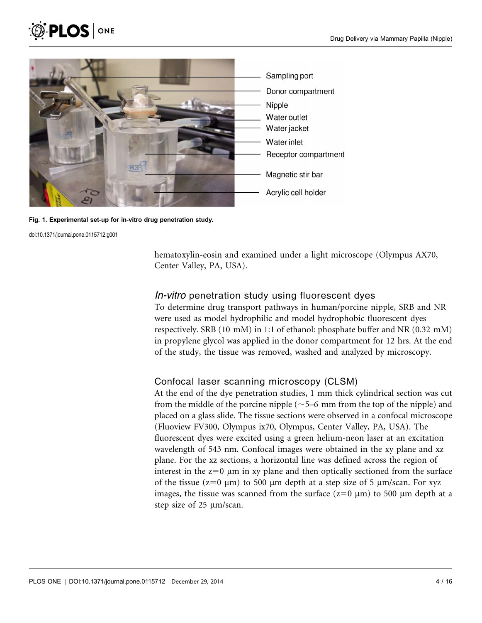<span id="page-3-0"></span>



Fig. 1. Experimental set-up for in-vitro drug penetration study.

hematoxylin-eosin and examined under a light microscope (Olympus AX70, Center Valley, PA, USA).

#### In-vitro penetration study using fluorescent dyes

To determine drug transport pathways in human/porcine nipple, SRB and NR were used as model hydrophilic and model hydrophobic fluorescent dyes respectively. SRB (10 mM) in 1:1 of ethanol: phosphate buffer and NR (0.32 mM) in propylene glycol was applied in the donor compartment for 12 hrs. At the end of the study, the tissue was removed, washed and analyzed by microscopy.

### Confocal laser scanning microscopy (CLSM)

At the end of the dye penetration studies, 1 mm thick cylindrical section was cut from the middle of the porcine nipple ( $\sim$  5–6 mm from the top of the nipple) and placed on a glass slide. The tissue sections were observed in a confocal microscope (Fluoview FV300, Olympus ix70, Olympus, Center Valley, PA, USA). The fluorescent dyes were excited using a green helium-neon laser at an excitation wavelength of 543 nm. Confocal images were obtained in the xy plane and xz plane. For the xz sections, a horizontal line was defined across the region of interest in the  $z=0$  µm in xy plane and then optically sectioned from the surface of the tissue ( $z=0 \mu m$ ) to 500  $\mu m$  depth at a step size of 5  $\mu m/s$ can. For xyz images, the tissue was scanned from the surface  $(z=0 \mu m)$  to 500  $\mu m$  depth at a step size of 25  $\mu$ m/scan.

doi:10.1371/journal.pone.0115712.g001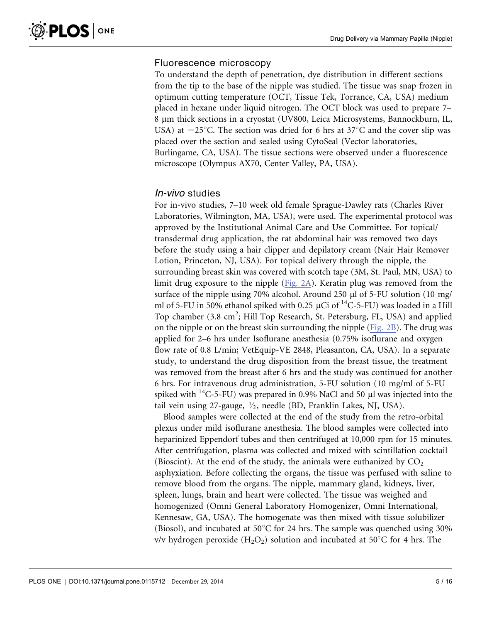### Fluorescence microscopy

To understand the depth of penetration, dye distribution in different sections from the tip to the base of the nipple was studied. The tissue was snap frozen in optimum cutting temperature (OCT, Tissue Tek, Torrance, CA, USA) medium placed in hexane under liquid nitrogen. The OCT block was used to prepare 7– 8 mm thick sections in a cryostat (UV800, Leica Microsystems, Bannockburn, IL, USA) at  $-25^{\circ}$ C. The section was dried for 6 hrs at 37 $^{\circ}$ C and the cover slip was placed over the section and sealed using CytoSeal (Vector laboratories, Burlingame, CA, USA). The tissue sections were observed under a fluorescence microscope (Olympus AX70, Center Valley, PA, USA).

### In-vivo studies

For in-vivo studies, 7–10 week old female Sprague-Dawley rats (Charles River Laboratories, Wilmington, MA, USA), were used. The experimental protocol was approved by the Institutional Animal Care and Use Committee. For topical/ transdermal drug application, the rat abdominal hair was removed two days before the study using a hair clipper and depilatory cream (Nair Hair Remover Lotion, Princeton, NJ, USA). For topical delivery through the nipple, the surrounding breast skin was covered with scotch tape (3M, St. Paul, MN, USA) to limit drug exposure to the nipple ([Fig. 2A](#page-5-0)). Keratin plug was removed from the surface of the nipple using 70% alcohol. Around 250 µl of 5-FU solution (10 mg/ ml of 5-FU in 50% ethanol spiked with 0.25  $\mu$ Ci of <sup>14</sup>C-5-FU) was loaded in a Hill Top chamber (3.8 cm<sup>2</sup>; Hill Top Research, St. Petersburg, FL, USA) and applied on the nipple or on the breast skin surrounding the nipple [\(Fig. 2B](#page-5-0)). The drug was applied for 2–6 hrs under Isoflurane anesthesia (0.75% isoflurane and oxygen flow rate of 0.8 L/min; VetEquip-VE 2848, Pleasanton, CA, USA). In a separate study, to understand the drug disposition from the breast tissue, the treatment was removed from the breast after 6 hrs and the study was continued for another 6 hrs. For intravenous drug administration, 5-FU solution (10 mg/ml of 5-FU spiked with  $^{14}$ C-5-FU) was prepared in 0.9% NaCl and 50 µl was injected into the tail vein using 27-gauge,  $\frac{1}{2}$ , needle (BD, Franklin Lakes, NJ, USA).

Blood samples were collected at the end of the study from the retro-orbital plexus under mild isoflurane anesthesia. The blood samples were collected into heparinized Eppendorf tubes and then centrifuged at 10,000 rpm for 15 minutes. After centrifugation, plasma was collected and mixed with scintillation cocktail (Bioscint). At the end of the study, the animals were euthanized by  $CO<sub>2</sub>$ asphyxiation. Before collecting the organs, the tissue was perfused with saline to remove blood from the organs. The nipple, mammary gland, kidneys, liver, spleen, lungs, brain and heart were collected. The tissue was weighed and homogenized (Omni General Laboratory Homogenizer, Omni International, Kennesaw, GA, USA). The homogenate was then mixed with tissue solubilizer (Biosol), and incubated at 50 $^{\circ}$ C for 24 hrs. The sample was quenched using 30% v/v hydrogen peroxide  $(H_2O_2)$  solution and incubated at 50°C for 4 hrs. The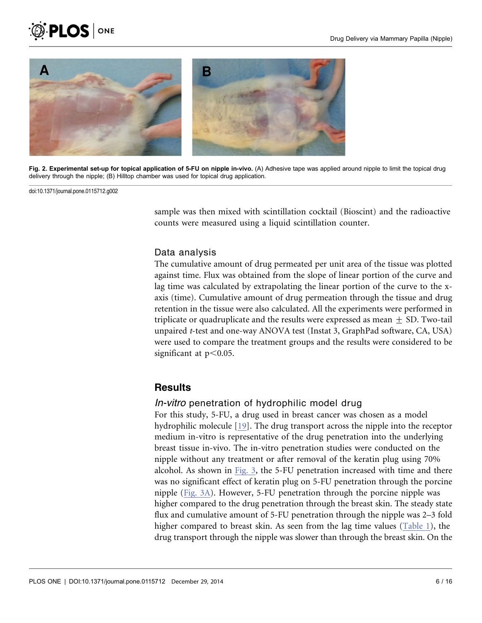<span id="page-5-0"></span>



Fig. 2. Experimental set-up for topical application of 5-FU on nipple in-vivo. (A) Adhesive tape was applied around nipple to limit the topical drug delivery through the nipple; (B) Hilltop chamber was used for topical drug application.

doi:10.1371/journal.pone.0115712.g002

sample was then mixed with scintillation cocktail (Bioscint) and the radioactive counts were measured using a liquid scintillation counter.

#### Data analysis

The cumulative amount of drug permeated per unit area of the tissue was plotted against time. Flux was obtained from the slope of linear portion of the curve and lag time was calculated by extrapolating the linear portion of the curve to the xaxis (time). Cumulative amount of drug permeation through the tissue and drug retention in the tissue were also calculated. All the experiments were performed in triplicate or quadruplicate and the results were expressed as mean  $\pm$  SD. Two-tail unpaired t-test and one-way ANOVA test (Instat 3, GraphPad software, CA, USA) were used to compare the treatment groups and the results were considered to be significant at  $p<0.05$ .

### **Results**

#### In-vitro penetration of hydrophilic model drug

For this study, 5-FU, a drug used in breast cancer was chosen as a model hydrophilic molecule [\[19\]](#page-15-0). The drug transport across the nipple into the receptor medium in-vitro is representative of the drug penetration into the underlying breast tissue in-vivo. The in-vitro penetration studies were conducted on the nipple without any treatment or after removal of the keratin plug using 70% alcohol. As shown in [Fig. 3,](#page-6-0) the 5-FU penetration increased with time and there was no significant effect of keratin plug on 5-FU penetration through the porcine nipple ([Fig. 3A](#page-6-0)). However, 5-FU penetration through the porcine nipple was higher compared to the drug penetration through the breast skin. The steady state flux and cumulative amount of 5-FU penetration through the nipple was 2–3 fold higher compared to breast skin. As seen from the lag time values ([Table 1\)](#page-6-0), the drug transport through the nipple was slower than through the breast skin. On the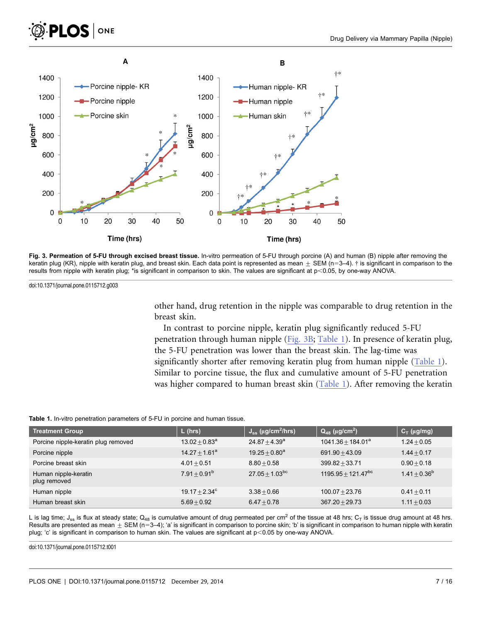

<span id="page-6-0"></span>



Fig. 3. Permeation of 5-FU through excised breast tissue. In-vitro permeation of 5-FU through porcine (A) and human (B) nipple after removing the keratin plug (KR), nipple with keratin plug, and breast skin. Each data point is represented as mean  $\pm$  SEM (n=3–4). † is significant in comparison to the results from nipple with keratin plug; \*is significant in comparison to skin. The values are significant at p<0.05, by one-way ANOVA.

doi:10.1371/journal.pone.0115712.g003

other hand, drug retention in the nipple was comparable to drug retention in the breast skin.

In contrast to porcine nipple, keratin plug significantly reduced 5-FU penetration through human nipple (Fig. 3B; Table 1). In presence of keratin plug, the 5-FU penetration was lower than the breast skin. The lag-time was significantly shorter after removing keratin plug from human nipple (Table 1). Similar to porcine tissue, the flux and cumulative amount of 5-FU penetration was higher compared to human breast skin (Table 1). After removing the keratin

|  |  |  |  | <b>Table 1.</b> In-vitro penetration parameters of 5-FU in porcine and human tissue. |  |  |  |  |  |  |  |
|--|--|--|--|--------------------------------------------------------------------------------------|--|--|--|--|--|--|--|
|--|--|--|--|--------------------------------------------------------------------------------------|--|--|--|--|--|--|--|

| <b>Treatment Group</b>               | $L$ (hrs)        | $J_{ss}$ (µg/cm <sup>2</sup> /hrs) | $Q_{48}$ (µg/cm <sup>2</sup> )   | $C_T$ (µg/mg)     |
|--------------------------------------|------------------|------------------------------------|----------------------------------|-------------------|
| Porcine nipple-keratin plug removed  | $13.02 + 0.83^a$ | $24.87 + 4.39^a$                   | $1041.36 + 184.01^a$             | $1.24 + 0.05$     |
| Porcine nipple                       | $14.27 + 1.61^a$ | $19.25 + 0.80^a$                   | $691.90 + 43.09$                 | $1.44 + 0.17$     |
| Porcine breast skin                  | $4.01 + 0.51$    | $8.80 + 0.58$                      | $399.82 + 33.71$                 | $0.90 + 0.18$     |
| Human nipple-keratin<br>plug removed | $7.91 + 0.91b$   | $27.05 \pm 1.03^{bc}$              | $1195.95 \pm 121.47^{\text{bc}}$ | $1.41 \pm 0.36^b$ |
| Human nipple                         | $19.17 + 2.34^c$ | $3.38 + 0.66$                      | $100.07 + 23.76$                 | $0.41 + 0.11$     |
| Human breast skin                    | $5.69 + 0.92$    | $6.47 + 0.78$                      | $367.20 + 29.73$                 | $1.11 + 0.03$     |

L is lag time;  $J_{ss}$  is flux at steady state;  $Q_{48}$  is cumulative amount of drug permeated per cm<sup>2</sup> of the tissue at 48 hrs;  $C_T$  is tissue drug amount at 48 hrs. Results are presented as mean  $\pm$  SEM (n=3–4); 'a' is significant in comparison to porcine skin; 'b' is significant in comparison to human nipple with keratin plug; 'c' is significant in comparison to human skin. The values are significant at p<0.05 by one-way ANOVA.

doi:10.1371/journal.pone.0115712.t001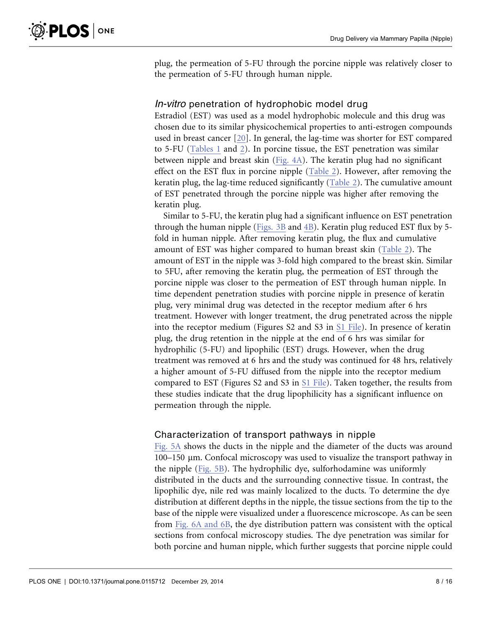plug, the permeation of 5-FU through the porcine nipple was relatively closer to the permeation of 5-FU through human nipple.

### In-vitro penetration of hydrophobic model drug

Estradiol (EST) was used as a model hydrophobic molecule and this drug was chosen due to its similar physicochemical properties to anti-estrogen compounds used in breast cancer [\[20\]](#page-15-0). In general, the lag-time was shorter for EST compared to 5-FU ([Tables 1](#page-6-0) and [2\)](#page-8-0). In porcine tissue, the EST penetration was similar between nipple and breast skin [\(Fig. 4A](#page-8-0)). The keratin plug had no significant effect on the EST flux in porcine nipple [\(Table 2](#page-8-0)). However, after removing the keratin plug, the lag-time reduced significantly ([Table 2\)](#page-8-0). The cumulative amount of EST penetrated through the porcine nipple was higher after removing the keratin plug.

Similar to 5-FU, the keratin plug had a significant influence on EST penetration through the human nipple [\(Figs. 3B](#page-6-0) and [4B](#page-8-0)). Keratin plug reduced EST flux by 5 fold in human nipple. After removing keratin plug, the flux and cumulative amount of EST was higher compared to human breast skin ([Table 2\)](#page-8-0). The amount of EST in the nipple was 3-fold high compared to the breast skin. Similar to 5FU, after removing the keratin plug, the permeation of EST through the porcine nipple was closer to the permeation of EST through human nipple. In time dependent penetration studies with porcine nipple in presence of keratin plug, very minimal drug was detected in the receptor medium after 6 hrs treatment. However with longer treatment, the drug penetrated across the nipple into the receptor medium (Figures S2 and S3 in [S1 File](#page-13-0)). In presence of keratin plug, the drug retention in the nipple at the end of 6 hrs was similar for hydrophilic (5-FU) and lipophilic (EST) drugs. However, when the drug treatment was removed at 6 hrs and the study was continued for 48 hrs, relatively a higher amount of 5-FU diffused from the nipple into the receptor medium compared to EST (Figures S2 and S3 in [S1 File\)](#page-13-0). Taken together, the results from these studies indicate that the drug lipophilicity has a significant influence on permeation through the nipple.

#### Characterization of transport pathways in nipple

[Fig. 5A](#page-9-0) shows the ducts in the nipple and the diameter of the ducts was around  $100-150$  µm. Confocal microscopy was used to visualize the transport pathway in the nipple ([Fig. 5B\)](#page-9-0). The hydrophilic dye, sulforhodamine was uniformly distributed in the ducts and the surrounding connective tissue. In contrast, the lipophilic dye, nile red was mainly localized to the ducts. To determine the dye distribution at different depths in the nipple, the tissue sections from the tip to the base of the nipple were visualized under a fluorescence microscope. As can be seen from [Fig. 6A and 6B,](#page-9-0) the dye distribution pattern was consistent with the optical sections from confocal microscopy studies. The dye penetration was similar for both porcine and human nipple, which further suggests that porcine nipple could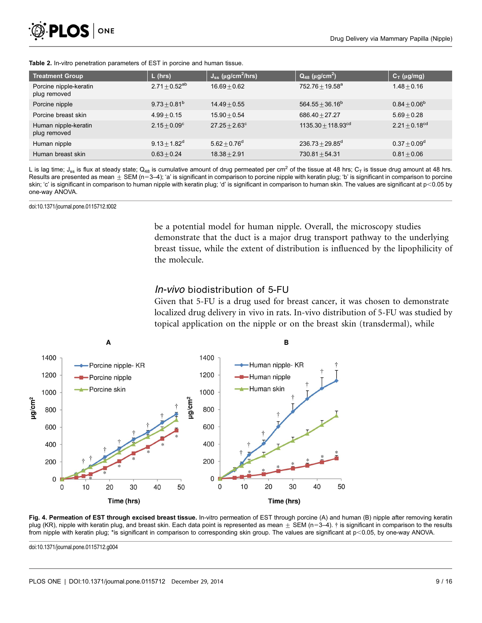<span id="page-8-0"></span>

| <b>Treatment Group</b>                 | $L$ (hrs)          | $J_{ss}$ (µg/cm <sup>2</sup> /hrs) | $Q_{48}$ (µg/cm <sup>2</sup> ) | $C_T$ (µg/mg)      |
|----------------------------------------|--------------------|------------------------------------|--------------------------------|--------------------|
| Porcine nipple-keratin<br>plug removed | $2.71 + 0.52^{ab}$ | $16.69 + 0.62$                     | $752.76 + 19.58^a$             | $1.48 + 0.16$      |
| Porcine nipple                         | $9.73 + 0.81^b$    | $14.49 + 0.55$                     | $564.55 + 36.16^b$             | $0.84 + 0.06^b$    |
| Porcine breast skin                    | $4.99 + 0.15$      | $15.90 + 0.54$                     | $686.40 + 27.27$               | $5.69 + 0.28$      |
| Human nipple-keratin<br>plug removed   | $2.15 + 0.09^c$    | $27.25 + 2.63^{\circ}$             | $1135.30 + 118.93^{cd}$        | $2.21 + 0.18^{cd}$ |
| Human nipple                           | $9.13 + 1.82^d$    | $5.62 + 0.76^d$                    | $236.73 + 29.85^d$             | $0.37 + 0.09^d$    |
| Human breast skin                      | $0.63 + 0.24$      | $18.38 + 2.91$                     | $730.81 + 54.31$               | $0.81 + 0.06$      |

Table 2. In-vitro penetration parameters of EST in porcine and human tissue.

L is lag time;  $J_{ss}$  is flux at steady state;  $Q_{48}$  is cumulative amount of drug permeated per cm<sup>2</sup> of the tissue at 48 hrs;  $C_T$  is tissue drug amount at 48 hrs. Results are presented as mean  $\pm$  SEM (n=3-4); 'a' is significant in comparison to porcine nipple with keratin plug; 'b' is significant in comparison to porcine skin; 'c' is significant in comparison to human nipple with keratin plug; 'd' is significant in comparison to human skin. The values are significant at p<0.05 by one-way ANOVA.

doi:10.1371/journal.pone.0115712.t002

be a potential model for human nipple. Overall, the microscopy studies demonstrate that the duct is a major drug transport pathway to the underlying breast tissue, while the extent of distribution is influenced by the lipophilicity of the molecule.

### In-vivo biodistribution of 5-FU

Given that 5-FU is a drug used for breast cancer, it was chosen to demonstrate localized drug delivery in vivo in rats. In-vivo distribution of 5-FU was studied by topical application on the nipple or on the breast skin (transdermal), while



Fig. 4. Permeation of EST through excised breast tissue. In-vitro permeation of EST through porcine (A) and human (B) nipple after removing keratin plug (KR), nipple with keratin plug, and breast skin. Each data point is represented as mean  $\pm$  SEM (n=3–4). † is significant in comparison to the results from nipple with keratin plug; \*is significant in comparison to corresponding skin group. The values are significant at p<0.05, by one-way ANOVA.

doi:10.1371/journal.pone.0115712.g004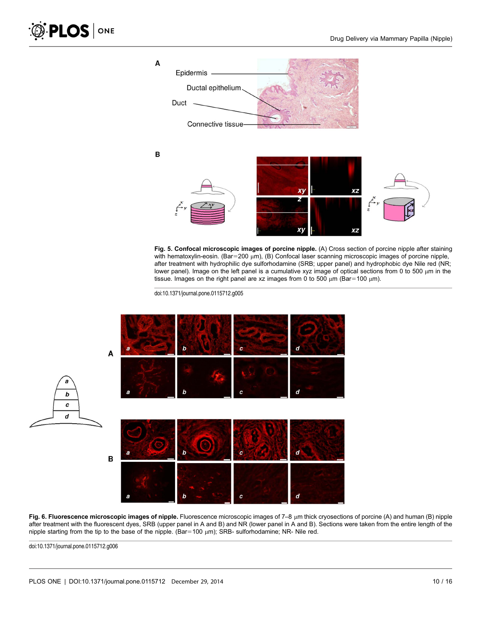<span id="page-9-0"></span>

Fig. 5. Confocal microscopic images of porcine nipple. (A) Cross section of porcine nipple after staining with hematoxylin-eosin. (Bar=200 µm), (B) Confocal laser scanning microscopic images of porcine nipple, after treatment with hydrophilic dye sulforhodamine (SRB; upper panel) and hydrophobic dye Nile red (NR; lower panel). Image on the left panel is a cumulative xyz image of optical sections from 0 to 500 um in the tissue. Images on the right panel are xz images from 0 to 500  $\mu$ m (Bar=100  $\mu$ m).

doi:10.1371/journal.pone.0115712.g005



Fig. 6. Fluorescence microscopic images of nipple. Fluorescence microscopic images of  $7-8$  µm thick cryosections of porcine (A) and human (B) nipple after treatment with the fluorescent dyes, SRB (upper panel in A and B) and NR (lower panel in A and B). Sections were taken from the entire length of the nipple starting from the tip to the base of the nipple. (Bar=100  $\mu$ m); SRB- sulforhodamine; NR- Nile red.

doi:10.1371/journal.pone.0115712.g006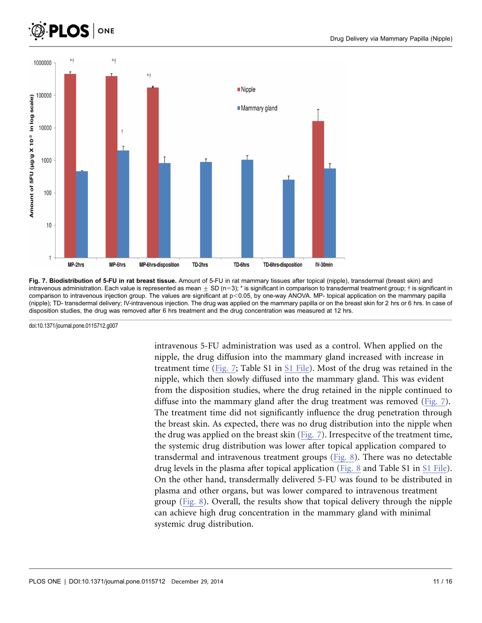<span id="page-10-0"></span>



Fig. 7. Biodistribution of 5-FU in rat breast tissue. Amount of 5-FU in rat mammary tissues after topical (nipple), transdermal (breast skin) and intravenous administration. Each value is represented as mean  $\pm$  SD (n=3); \* is significant in comparison to transdermal treatment group;  $\dagger$  is significant in comparison to intravenous injection group. The values are significant at p<0.05, by one-way ANOVA. MP- topical application on the mammary papilla (nipple); TD- transdermal delivery; IV-intravenous injection. The drug was applied on the mammary papilla or on the breast skin for 2 hrs or 6 hrs. In case of disposition studies, the drug was removed after 6 hrs treatment and the drug concentration was measured at 12 hrs.

doi:10.1371/journal.pone.0115712.g007

intravenous 5-FU administration was used as a control. When applied on the nipple, the drug diffusion into the mammary gland increased with increase in treatment time (Fig. 7; Table S1 in [S1 File\)](#page-13-0). Most of the drug was retained in the nipple, which then slowly diffused into the mammary gland. This was evident from the disposition studies, where the drug retained in the nipple continued to diffuse into the mammary gland after the drug treatment was removed (Fig. 7). The treatment time did not significantly influence the drug penetration through the breast skin. As expected, there was no drug distribution into the nipple when the drug was applied on the breast skin (Fig. 7). Irrespecitve of the treatment time, the systemic drug distribution was lower after topical application compared to transdermal and intravenous treatment groups ([Fig. 8](#page-11-0)). There was no detectable drug levels in the plasma after topical application [\(Fig. 8](#page-11-0) and Table S1 in [S1 File\)](#page-13-0). On the other hand, transdermally delivered 5-FU was found to be distributed in plasma and other organs, but was lower compared to intravenous treatment group [\(Fig. 8](#page-11-0)). Overall, the results show that topical delivery through the nipple can achieve high drug concentration in the mammary gland with minimal systemic drug distribution.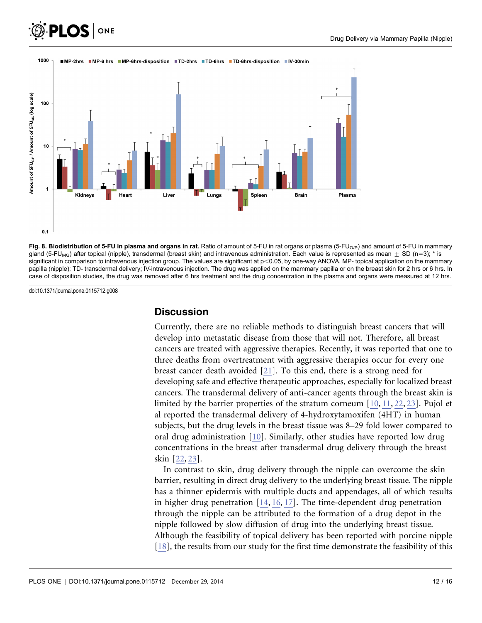<span id="page-11-0"></span>



#### 1000 ■MP-2hrs ■MP-6 hrs ■MP-6hrs-disposition ■TD-2hrs ■TD-6hrs ■TD-6hrs-disposition ■IV-30min



doi:10.1371/journal.pone.0115712.g008

#### **Discussion**

Currently, there are no reliable methods to distinguish breast cancers that will develop into metastatic disease from those that will not. Therefore, all breast cancers are treated with aggressive therapies. Recently, it was reported that one to three deaths from overtreatment with aggressive therapies occur for every one breast cancer death avoided [\[21\]](#page-15-0). To this end, there is a strong need for developing safe and effective therapeutic approaches, especially for localized breast cancers. The transdermal delivery of anti-cancer agents through the breast skin is limited by the barrier properties of the stratum corneum [\[10,](#page-14-0) [11,](#page-14-0) [22,](#page-15-0) [23](#page-15-0)[\]](#page-14-0). Pujol et al reported the transdermal delivery of 4-hydroxytamoxifen (4HT) in human subjects, but the drug levels in the breast tissue was 8–29 fold lower compared to oral drug administration [\[10\].](#page-14-0) Similarly, other studies have reported low drug concentrations in the breast after transdermal drug delivery through the breast skin [\[22,](#page-15-0) [23\]](#page-15-0).

In contrast to skin, drug delivery through the nipple can overcome the skin barrier, resulting in direct drug delivery to the underlying breast tissue. The nipple has a thinner epidermis with multiple ducts and appendages, all of which results in higher drug penetration [\[14,](#page-14-0) [16,](#page-14-0) [17\]](#page-14-0). The time-dependent drug penetration through the nipple can be attributed to the formation of a drug depot in the nipple followed by slow diffusion of drug into the underlying breast tissue. Although the feasibility of topical delivery has been reported with porcine nipple [\[18\],](#page-14-0) the results from our study for the first time demonstrate the feasibility of this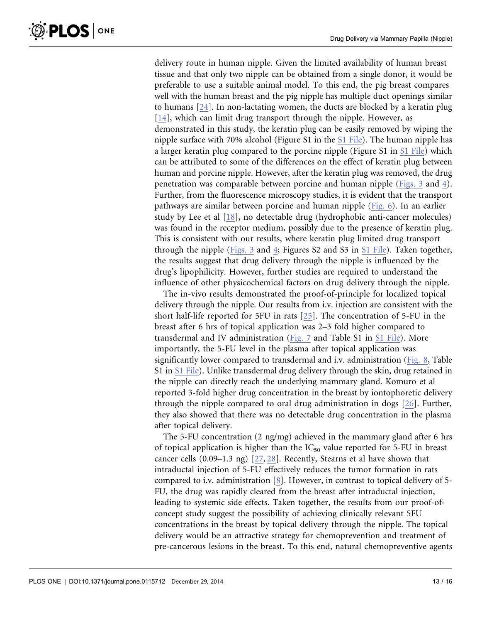delivery route in human nipple. Given the limited availability of human breast tissue and that only two nipple can be obtained from a single donor, it would be preferable to use a suitable animal model. To this end, the pig breast compares well with the human breast and the pig nipple has multiple duct openings similar to humans [\[24\].](#page-15-0) In non-lactating women, the ducts are blocked by a keratin plug [\[14\],](#page-14-0) which can limit drug transport through the nipple. However, as demonstrated in this study, the keratin plug can be easily removed by wiping the nipple surface with 70% alcohol (Figure S1 in the [S1 File](#page-13-0)). The human nipple has a larger keratin plug compared to the porcine nipple (Figure S1 in [S1 File](#page-13-0)) which can be attributed to some of the differences on the effect of keratin plug between human and porcine nipple. However, after the keratin plug was removed, the drug penetration was comparable between porcine and human nipple [\(Figs. 3](#page-6-0) and [4\)](#page-8-0). Further, from the fluorescence microscopy studies, it is evident that the transport pathways are similar between porcine and human nipple ([Fig. 6](#page-9-0)). In an earlier study by Lee et al [\[18\],](#page-14-0) no detectable drug (hydrophobic anti-cancer molecules) was found in the receptor medium, possibly due to the presence of keratin plug. This is consistent with our results, where keratin plug limited drug transport through the nipple ([Figs. 3](#page-6-0) and [4;](#page-8-0) Figures S2 and S3 in [S1 File\)](#page-13-0). Taken together, the results suggest that drug delivery through the nipple is influenced by the drug's lipophilicity. However, further studies are required to understand the influence of other physicochemical factors on drug delivery through the nipple.

The in-vivo results demonstrated the proof-of-principle for localized topical delivery through the nipple. Our results from i.v. injection are consistent with the short half-life reported for 5FU in rats [\[25\]](#page-15-0). The concentration of 5-FU in the breast after 6 hrs of topical application was 2–3 fold higher compared to transdermal and IV administration ([Fig. 7](#page-10-0) and Table S1 in [S1 File\)](#page-13-0). More importantly, the 5-FU level in the plasma after topical application was significantly lower compared to transdermal and i.v. administration [\(Fig. 8,](#page-11-0) Table S1 in [S1 File\)](#page-13-0). Unlike transdermal drug delivery through the skin, drug retained in the nipple can directly reach the underlying mammary gland. Komuro et al reported 3-fold higher drug concentration in the breast by iontophoretic delivery through the nipple compared to oral drug administration in dogs [\[26\]](#page-15-0). Further, they also showed that there was no detectable drug concentration in the plasma after topical delivery.

The 5-FU concentration (2 ng/mg) achieved in the mammary gland after 6 hrs of topical application is higher than the  $IC_{50}$  value reported for 5-FU in breast cancer cells  $(0.09-1.3 \text{ ng})$   $[27, 28]$ . Recently, Stearns et al have shown that intraductal injection of 5-FU effectively reduces the tumor formation in rats compared to i.v. administration [\[8\].](#page-14-0) However, in contrast to topical delivery of 5- FU, the drug was rapidly cleared from the breast after intraductal injection, leading to systemic side effects. Taken together, the results from our proof-ofconcept study suggest the possibility of achieving clinically relevant 5FU concentrations in the breast by topical delivery through the nipple. The topical delivery would be an attractive strategy for chemoprevention and treatment of pre-cancerous lesions in the breast. To this end, natural chemopreventive agents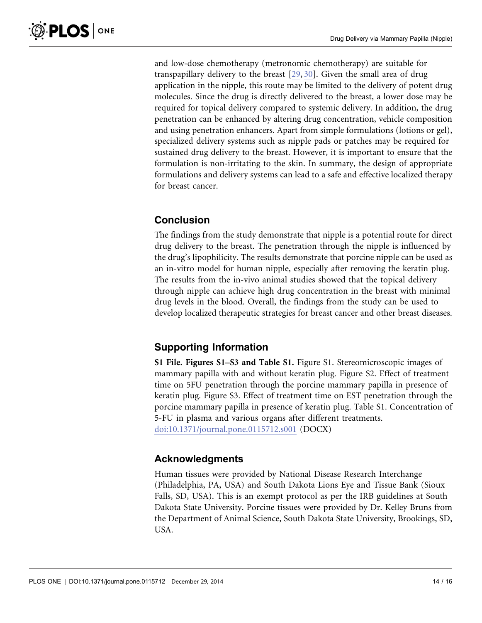<span id="page-13-0"></span>and low-dose chemotherapy (metronomic chemotherapy) are suitable for transpapillary delivery to the breast [\[29,](#page-15-0) [30\].](#page-15-0) Given the small area of drug application in the nipple, this route may be limited to the delivery of potent drug molecules. Since the drug is directly delivered to the breast, a lower dose may be required for topical delivery compared to systemic delivery. In addition, the drug penetration can be enhanced by altering drug concentration, vehicle composition and using penetration enhancers. Apart from simple formulations (lotions or gel), specialized delivery systems such as nipple pads or patches may be required for sustained drug delivery to the breast. However, it is important to ensure that the formulation is non-irritating to the skin. In summary, the design of appropriate formulations and delivery systems can lead to a safe and effective localized therapy for breast cancer.

### Conclusion

The findings from the study demonstrate that nipple is a potential route for direct drug delivery to the breast. The penetration through the nipple is influenced by the drug's lipophilicity. The results demonstrate that porcine nipple can be used as an in-vitro model for human nipple, especially after removing the keratin plug. The results from the in-vivo animal studies showed that the topical delivery through nipple can achieve high drug concentration in the breast with minimal drug levels in the blood. Overall, the findings from the study can be used to develop localized therapeutic strategies for breast cancer and other breast diseases.

### Supporting Information

S1 File. Figures S1–S3 and Table S1. Figure S1. Stereomicroscopic images of mammary papilla with and without keratin plug. Figure S2. Effect of treatment time on 5FU penetration through the porcine mammary papilla in presence of keratin plug. Figure S3. Effect of treatment time on EST penetration through the porcine mammary papilla in presence of keratin plug. Table S1. Concentration of 5-FU in plasma and various organs after different treatments. [doi:10.1371/journal.pone.0115712.s001](http://www.plosone.org/article/fetchSingleRepresentation.action?uri=info:doi/10.1371/journal.pone.0115712.s001) (DOCX)

### Acknowledgments

Human tissues were provided by National Disease Research Interchange (Philadelphia, PA, USA) and South Dakota Lions Eye and Tissue Bank (Sioux Falls, SD, USA). This is an exempt protocol as per the IRB guidelines at South Dakota State University. Porcine tissues were provided by Dr. Kelley Bruns from the Department of Animal Science, South Dakota State University, Brookings, SD, USA.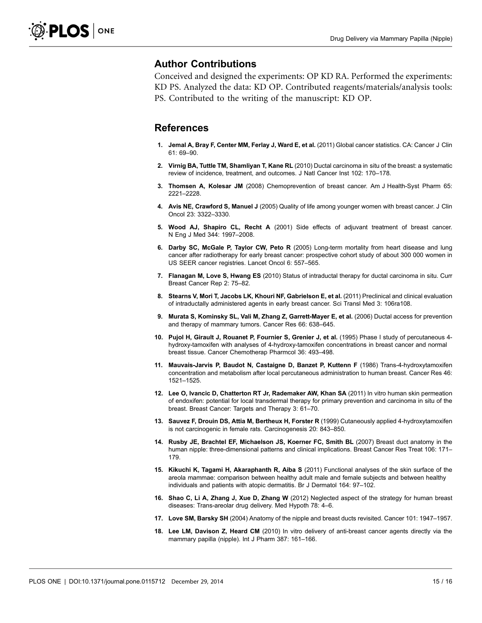### <span id="page-14-0"></span>Author Contributions

Conceived and designed the experiments: OP KD RA. Performed the experiments: KD PS. Analyzed the data: KD OP. Contributed reagents/materials/analysis tools: PS. Contributed to the writing of the manuscript: KD OP.

### **References**

- 1. Jemal A, Bray F, Center MM, Ferlay J, Ward E, et al. (2011) Global cancer statistics. CA: Cancer J Clin 61: 69–90.
- 2. Virnig BA, Tuttle TM, Shamliyan T, Kane RL (2010) Ductal carcinoma in situ of the breast: a systematic review of incidence, treatment, and outcomes. J Natl Cancer Inst 102: 170–178.
- 3. Thomsen A, Kolesar JM (2008) Chemoprevention of breast cancer. Am J Health-Syst Pharm 65: 2221–2228.
- 4. Avis NE, Crawford S, Manuel J (2005) Quality of life among younger women with breast cancer. J Clin Oncol 23: 3322–3330.
- 5. Wood AJ, Shapiro CL, Recht A (2001) Side effects of adjuvant treatment of breast cancer. N Eng J Med 344: 1997–2008.
- 6. Darby SC, McGale P, Taylor CW, Peto R (2005) Long-term mortality from heart disease and lung cancer after radiotherapy for early breast cancer: prospective cohort study of about 300 000 women in US SEER cancer registries. Lancet Oncol 6: 557–565.
- 7. Flanagan M, Love S, Hwang ES (2010) Status of intraductal therapy for ductal carcinoma in situ. Curr Breast Cancer Rep 2: 75–82.
- 8. Stearns V, Mori T, Jacobs LK, Khouri NF, Gabrielson E, et al. (2011) Preclinical and clinical evaluation of intraductally administered agents in early breast cancer. Sci Transl Med 3: 106ra108.
- 9. Murata S, Kominsky SL, Vali M, Zhang Z, Garrett-Mayer E, et al. (2006) Ductal access for prevention and therapy of mammary tumors. Cancer Res 66: 638–645.
- 10. Pujol H, Girault J, Rouanet P, Fournier S, Grenier J, et al. (1995) Phase I study of percutaneous 4 hydroxy-tamoxifen with analyses of 4-hydroxy-tamoxifen concentrations in breast cancer and normal breast tissue. Cancer Chemotherap Pharmcol 36: 493–498.
- 11. Mauvais-Jarvis P, Baudot N, Castaigne D, Banzet P, Kuttenn F (1986) Trans-4-hydroxytamoxifen concentration and metabolism after local percutaneous administration to human breast. Cancer Res 46: 1521–1525.
- 12. Lee O, Ivancic D, Chatterton RT Jr, Rademaker AW, Khan SA (2011) In vitro human skin permeation of endoxifen: potential for local transdermal therapy for primary prevention and carcinoma in situ of the breast. Breast Cancer: Targets and Therapy 3: 61–70.
- 13. Sauvez F, Drouin DS, Attia M, Bertheux H, Forster R (1999) Cutaneously applied 4-hydroxytamoxifen is not carcinogenic in female rats. Carcinogenesis 20: 843–850.
- 14. Rusby JE, Brachtel EF, Michaelson JS, Koerner FC, Smith BL (2007) Breast duct anatomy in the human nipple: three-dimensional patterns and clinical implications. Breast Cancer Res Treat 106: 171-179.
- 15. Kikuchi K, Tagami H, Akaraphanth R, Aiba S (2011) Functional analyses of the skin surface of the areola mammae: comparison between healthy adult male and female subjects and between healthy individuals and patients with atopic dermatitis. Br J Dermatol 164: 97–102.
- 16. Shao C, Li A, Zhang J, Xue D, Zhang W (2012) Neglected aspect of the strategy for human breast diseases: Trans-areolar drug delivery. Med Hypoth 78: 4–6.
- 17. Love SM, Barsky SH (2004) Anatomy of the nipple and breast ducts revisited. Cancer 101: 1947–1957.
- 18. Lee LM, Davison Z, Heard CM (2010) In vitro delivery of anti-breast cancer agents directly via the mammary papilla (nipple). Int J Pharm 387: 161–166.